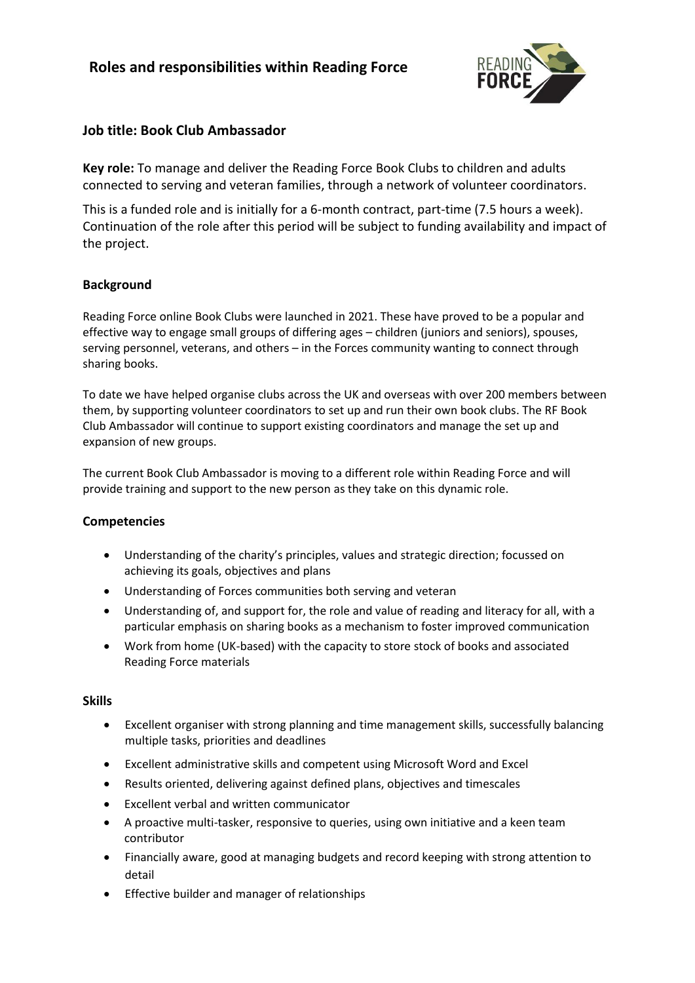# **Roles and responsibilities within Reading Force**



# **Job title: Book Club Ambassador**

**Key role:** To manage and deliver the Reading Force Book Clubs to children and adults connected to serving and veteran families, through a network of volunteer coordinators.

This is a funded role and is initially for a 6-month contract, part-time (7.5 hours a week). Continuation of the role after this period will be subject to funding availability and impact of the project.

### **Background**

Reading Force online Book Clubs were launched in 2021. These have proved to be a popular and effective way to engage small groups of differing ages – children (juniors and seniors), spouses, serving personnel, veterans, and others – in the Forces community wanting to connect through sharing books.

To date we have helped organise clubs across the UK and overseas with over 200 members between them, by supporting volunteer coordinators to set up and run their own book clubs. The RF Book Club Ambassador will continue to support existing coordinators and manage the set up and expansion of new groups.

The current Book Club Ambassador is moving to a different role within Reading Force and will provide training and support to the new person as they take on this dynamic role.

### **Competencies**

- Understanding of the charity's principles, values and strategic direction; focussed on achieving its goals, objectives and plans
- Understanding of Forces communities both serving and veteran
- Understanding of, and support for, the role and value of reading and literacy for all, with a particular emphasis on sharing books as a mechanism to foster improved communication
- Work from home (UK-based) with the capacity to store stock of books and associated Reading Force materials

#### **Skills**

- Excellent organiser with strong planning and time management skills, successfully balancing multiple tasks, priorities and deadlines
- Excellent administrative skills and competent using Microsoft Word and Excel
- Results oriented, delivering against defined plans, objectives and timescales
- Excellent verbal and written communicator
- A proactive multi-tasker, responsive to queries, using own initiative and a keen team contributor
- Financially aware, good at managing budgets and record keeping with strong attention to detail
- Effective builder and manager of relationships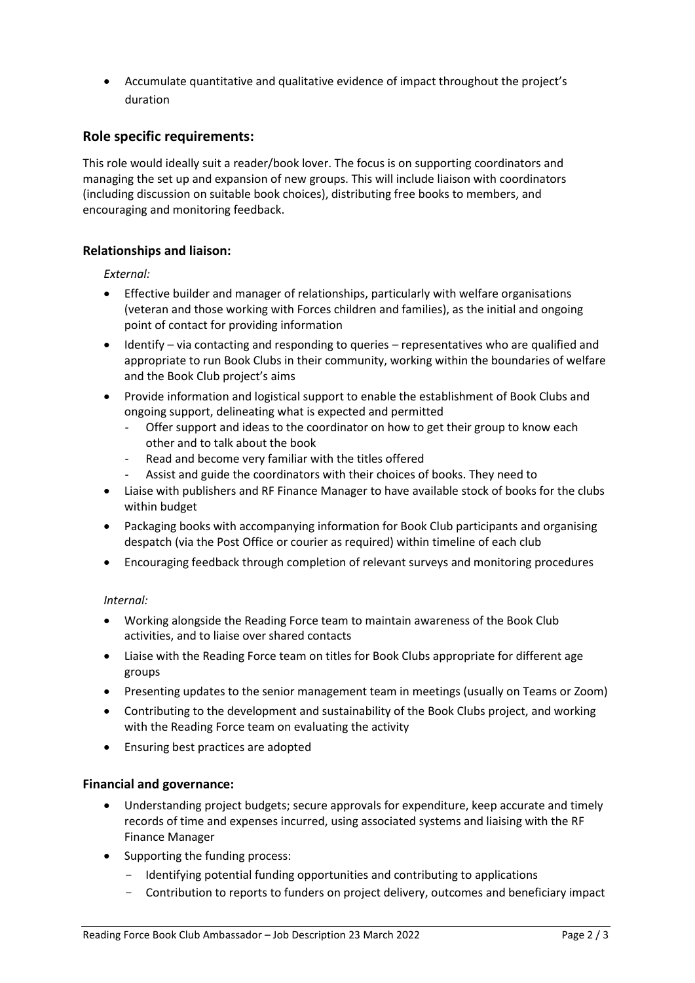• Accumulate quantitative and qualitative evidence of impact throughout the project's duration

# **Role specific requirements:**

This role would ideally suit a reader/book lover. The focus is on supporting coordinators and managing the set up and expansion of new groups. This will include liaison with coordinators (including discussion on suitable book choices), distributing free books to members, and encouraging and monitoring feedback.

### **Relationships and liaison:**

*External:*

- Effective builder and manager of relationships, particularly with welfare organisations (veteran and those working with Forces children and families), as the initial and ongoing point of contact for providing information
- Identify via contacting and responding to queries representatives who are qualified and appropriate to run Book Clubs in their community, working within the boundaries of welfare and the Book Club project's aims
- Provide information and logistical support to enable the establishment of Book Clubs and ongoing support, delineating what is expected and permitted
	- Offer support and ideas to the coordinator on how to get their group to know each other and to talk about the book
	- Read and become very familiar with the titles offered
	- Assist and guide the coordinators with their choices of books. They need to
- Liaise with publishers and RF Finance Manager to have available stock of books for the clubs within budget
- Packaging books with accompanying information for Book Club participants and organising despatch (via the Post Office or courier as required) within timeline of each club
- Encouraging feedback through completion of relevant surveys and monitoring procedures

#### *Internal:*

- Working alongside the Reading Force team to maintain awareness of the Book Club activities, and to liaise over shared contacts
- Liaise with the Reading Force team on titles for Book Clubs appropriate for different age groups
- Presenting updates to the senior management team in meetings (usually on Teams or Zoom)
- Contributing to the development and sustainability of the Book Clubs project, and working with the Reading Force team on evaluating the activity
- Ensuring best practices are adopted

#### **Financial and governance:**

- Understanding project budgets; secure approvals for expenditure, keep accurate and timely records of time and expenses incurred, using associated systems and liaising with the RF Finance Manager
- Supporting the funding process:
	- Identifying potential funding opportunities and contributing to applications
	- Contribution to reports to funders on project delivery, outcomes and beneficiary impact